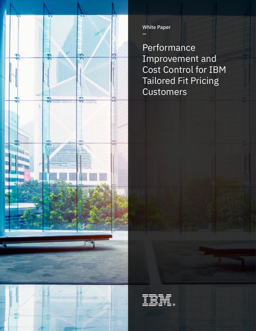

White Paper

—

Performance Improvement and Cost Control for IBM Tailored Fit Pricing Customers

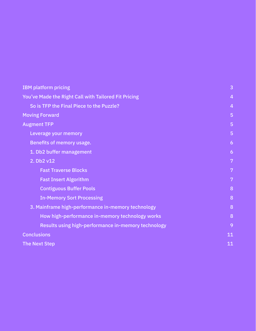| <b>IBM</b> platform pricing                          | 3  |
|------------------------------------------------------|----|
| You've Made the Right Call with Tailored Fit Pricing | 4  |
| So is TFP the Final Piece to the Puzzle?             | 4  |
| <b>Moving Forward</b>                                | 5  |
| <b>Augment TFP</b>                                   | 5  |
| Leverage your memory                                 | 5  |
| Benefits of memory usage.                            | 6  |
| 1. Db2 buffer management                             | 6  |
| 2. Db2 v12                                           | 7  |
| <b>Fast Traverse Blocks</b>                          | 7  |
| <b>Fast Insert Algorithm</b>                         | 7  |
| <b>Contiguous Buffer Pools</b>                       | 8  |
| <b>In-Memory Sort Processing</b>                     | 8  |
| 3. Mainframe high-performance in-memory technology   | 8  |
| How high-performance in-memory technology works      | 8  |
| Results using high-performance in-memory technology  | 9  |
| <b>Conclusions</b>                                   | 11 |
| <b>The Next Step</b>                                 | 11 |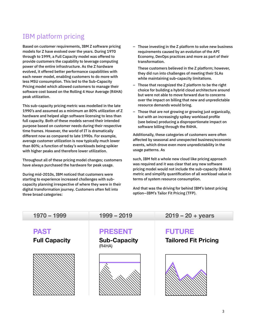# <span id="page-2-0"></span>IBM platform pricing

Based on customer requirements, IBM Z software pricing models for Z have evolved over the years. During 1970 through to 1999, a Full Capacity model was offered to provide customers the capability to leverage computing power of the entire infrastructure. As the Z hardware evolved, it offered better performance capabilities with each newer model, enabling customers to do more with less MSU consumption. This led to the Sub-Capacity Pricing model which allowed customers to manage their software cost based on the Rolling 4 Hour Average (R4HA) peak utilization.

This sub-capacity pricing metric was modelled in the late 1990's and assumed as a minimum an 80% utilization of Z hardware and helped align software licensing to less than full capacity. Both of these models served their intended purpose based on customer needs during their respective time frames. However, the world of IT is dramatically different now as compared to late 1990s. For example, average customer utilization is now typically much lower than 80%; a function of today's workloads being spikier with higher peaks and therefore lower utilization.

Throughout all of these pricing model changes; customers have always purchased the hardware for peak usage.

During mid-2010s, IBM noticed that customers were starting to experience increased challenges with subcapacity planning irrespective of where they were in their digital transformation journey. Customers often fell into three broad categories:

– Those investing in the Z platform to solve new business requirements caused by an evolution of the API Economy, DevOps practices and more as part of their transformation.

These customers believed in the Z platform; however, they did run into challenges of meeting their SLAs while maintaining sub-capacity limitations.

- Those that recognized the Z platform to be the right choice for building a hybrid cloud architecture around but were not able to move forward due to concerns over the impact on billing that new and unpredictable resource demands would bring.
- Those that are not growing or growing just organically, but with an increasingly spikey workload profile (see below) producing a disproportionate impact on software billing through the R4HA.

Additionally, these categories of customers were often affected by seasonal and unexpected business/economic events, which drove even more unpredictability in the usage patterns. As

such, IBM felt a whole new cloud like pricing approach was required and it was clear that any new software pricing model would not include the sub-capacity (R4HA) metric and simplify quantification of all workload value in terms of system resource consumption.

And that was the driving for behind IBM's latest pricing option—IBM's Tailor Fit Pricing (TFP).

### 1970 – 1999

PAST Full Capacity



1999 – 2019

PRESENT Sub-Capacity (R4HA)



2019 – 20 + years

# FUTURE Tailored Fit Pricing

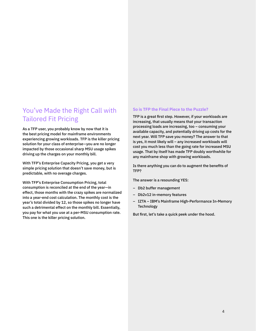# <span id="page-3-0"></span>You've Made the Right Call with Tailored Fit Pricing

As a TFP user, you probably know by now that it is the best pricing model for mainframe environments experiencing growing workloads. TFP is the killer pricing solution for your class of enterprise—you are no longer impacted by those occasional sharp MSU usage spikes driving up the charges on your monthly bill.

With TFP's Enterprise Capacity Pricing, you get a very simple pricing solution that doesn't save money, but is predictable, with no overage charges.

With TFP's Enterprise Consumption Pricing, total consumption is reconciled at the end of the year—in effect, those months with the crazy spikes are normalized into a year-end cost calculation. The monthly cost is the year's total divided by 12, so those spikes no longer have such a detrimental effect on the monthly bill. Essentially, you pay for what you use at a per-MSU consumption rate. This one is the killer pricing solution.

#### **So is TFP the Final Piece to the Puzzle?**

TFP is a great first step. However, if your workloads are increasing, that usually means that your transaction processing loads are increasing, too – consuming your available capacity, and potentially driving up costs for the next year. Will TFP save you money? The answer to that is yes, it most likely will – any increased workloads will cost you much less than the going rate for increased MSU usage. That by itself has made TFP doubly worthwhile for any mainframe shop with growing workloads.

Is there anything you can do to augment the benefits of TFP?

The answer is a resounding YES:

- Db2 buffer management
- Db2v12 in-memory features
- IZTA IBM's Mainframe High-Performance In-Memory **Technology**

But first, let's take a quick peek under the hood.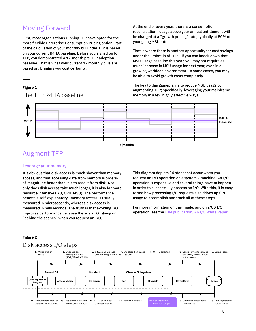# <span id="page-4-0"></span>Moving Forward

The TFP R4HA baseline

First, most organizations running TFP have opted for the more flexible Enterprise Consumption Pricing option. Part of the calculation of your monthly bill under TFP is based on your current R4HA baseline. Before you signed on for TFP, you demonstrated a 12-month pre-TFP adoption baseline. That is what your current 12 monthly bills are based on, bringing you cost certainty.

## **Figure 1**

At the end of every year, there is a consumption reconciliation—usage above your annual entitlement will be charged at a "growth pricing" rate, typically at 50% of your going MSU rate.

That is where there is another opportunity for cost savings under the umbrella of TFP – if you can knock down that MSU-usage baseline this year, you may not require as much increase in MSU usage for next year, even in a growing workload environment. In some cases, you may be able to avoid growth costs completely.

The key to this gameplan is to reduce MSU usage by augmenting TFP; specifically, leveraging your mainframe memory in a few highly effective ways.



# Augment TFP

#### **Leverage your memory**

It's obvious that disk access is much slower than memory access, and that accessing data from memory is ordersof-magnitude faster than it is to read it from disk. Not only does disk access take much longer, it is also far more resource intensive (I/O, CPU, MSU). The performance benefit is self-explanatory—memory access is usually measured in microseconds, whereas disk access is measured in milliseconds. The truth is that avoiding I/O improves performance because there is a LOT going on "behind the scenes" when you request an I/O.

This diagram depicts 14 steps that occur when you request an I/O operation on a system Z machine. An I/O operation is expensive and several things have to happen in order to successfully process an I/O. With this, it is easy to see how processing I/O requests also drives up CPU usage to accomplish and track all of these steps.

For more information on this image, and on z/OS I/O operation, see the [IBM publication, An I/O White Paper.](https://www.planetmainframe.com/wp-content/uploads/2022/01/Input-Output-A-White-Paper.pdf)

#### **Figure 2**



## Disk access I/O steps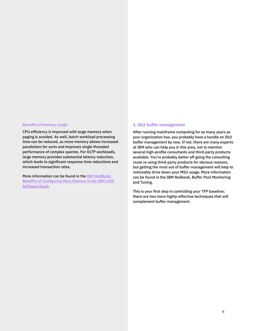#### <span id="page-5-0"></span>Benefits of memory usage.

CPU efficiency is improved with large memory when paging is avoided. As well, batch workload processing time can be reduced, as more memory allows increased parallelism for sorts and improves single threaded performance of complex queries. For OLTP workloads, large memory provides substantial latency reduction, which leads to significant response time reductions and increased transaction rates.

More information can be found in the [IBM RedBook,](https://www.redbooks.ibm.com/redpapers/pdfs/redp5238.pdf)  [Benefits of Configuring More Memory in the IBM z/OS](https://www.redbooks.ibm.com/redpapers/pdfs/redp5238.pdf)  [Software Stack](https://www.redbooks.ibm.com/redpapers/pdfs/redp5238.pdf).

#### **1. Db2 buffer management**

After running mainframe computing for as many years as your organization has, you probably have a handle on Db2 buffer management by now. If not, there are many experts at IBM who can help you in this area, not to mention several high-profile consultants and third-party products available. You're probably better off going the consulting route vs using third-party products for obvious reasons, but getting the most out of buffer management will help to noticeably drive down your MSU usage. More information can be found in the IBM Redbook, Buffer Pool Monitoring and Tuning.

This is your first step in controlling your TFP baseline; there are two more highly-effective techniques that will complement buffer management.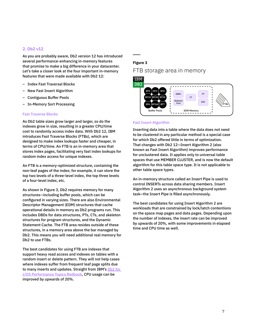#### <span id="page-6-0"></span>**2. Db2 v12**

As you are probably aware, Db2 version 12 has introduced several performance-enhancing in-memory features that promise to make a big difference in your datacenter. Let's take a closer look at the four important in-memory features that were made available with Db2 12:

- Index Fast Traversal Blocks
- New Fast Insert Algorithm
- Contiguous Buffer Pools
- In-Memory Sort Processing

#### Fast Traverse Blocks

As Db2 table sizes grow larger and larger, so do the indexes grow in size, resulting in a greater CPU/time cost to randomly access index data. With Db2 12, IBM introduces Fast Traverse Blocks (FTBs), which are designed to make index lookups faster and cheaper, in terms of CPU/time. An FTB is an in-memory area that stores index pages, facilitating very fast index lookups for random index access for unique indexes.

An FTB is a memory-optimized structure, containing the non-leaf pages of the index; for example, it can store the top two levels of a three-level index, the top three levels of a four-level index, etc.

As shown in Figure 3, Db2 requires memory for many structures—including buffer pools, which can be configured in varying sizes. There are also Environmental Descriptor Management (EDM) structures that cache operational details in memory as Db2 programs run. This includes DBDs for data structures, PTs, CTs, and skeleton structures for program structures, and the Dynamic Statement Cache. The FTB area resides outside of these structures, in a memory area above the bar managed by Db2. This means you will need additional real memory for Db2 to use FTBs.

The best candidates for using FTB are indexes that support heavy read access and indexes on tables with a random insert or delete pattern. They will not help cases where indexes suffer from frequent leaf page splits due to many inserts and updates. Straight from IBM's Db2 for [z/OS Performance Topics Redbook](http://www.redbooks.ibm.com/abstracts/sg248404.html?Open), CPU usage can be improved by upwards of 20%.

#### **Figure 3**

## FTB storage area in memory



#### Fast Insert Algorithm

Inserting data into a table where the data does not need to be clustered in any particular method is a special case for which Db2 offered little in terms of optimization. That changes with Db2 12—Insert Algorithm 2 (also known as Fast Insert Algorithm) improves performance for unclustered data. It applies only to universal table spaces that use MEMBER CLUSTER, and is now the default algorithm for this table space type. It is not applicable to other table space types.

An in-memory structure called an Insert Pipe is used to control INSERTs across data sharing members. Insert Algorithm 2 uses an asynchronous background system task—the Insert Pipe is filled asynchronously.

The best candidates for using Insert Algorithm 2 are workloads that are constrained by lock/latch contentions on the space map pages and data pages. Depending upon the number of indexes, the insert rate can be improved by upwards of 20%, with some improvements in elapsed time and CPU time as well.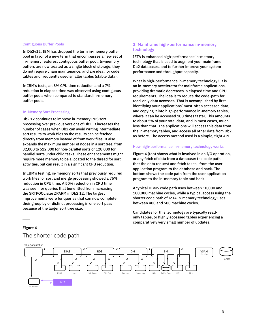#### <span id="page-7-0"></span>Contiguous Buffer Pools

In Db2v12, IBM has dropped the term in-memory buffer pool in favor of a new term that encompasses a new set of in-memory features: contiguous buffer pool. In-memory buffers are now treated as a single block of storage; they do not require chain maintenance, and are ideal for code tables and frequently used smaller tables (stable data).

In IBM's tests, an 8% CPU time reduction and a 7% reduction in elapsed time was observed using contiguous buffer pools when compared to standard in-memory buffer pools.

#### In-Memory Sort Processing

Db2 12 continues to improve in-memory RDS sort processing over previous versions of Db2. It increases the number of cases when Db2 can avoid writing intermediate sort results to work files so the results can be fetched directly from memory instead of from work files. It also expands the maximum number of nodes in a sort tree, from 32,000 to 512,000 for non-parallel sorts or 128,000 for parallel sorts under child tasks. These enhancements might require more memory to be allocated to the thread for sort activities, but can result in a significant CPU reduction.

In IBM's testing, in-memory sorts that previously required work files for sort and merge processing showed a 75% reduction in CPU time. A 50% reduction in CPU time was seen for queries that benefitted from increasing the SRTPOOL size ZPARM in Db2 12. The largest improvements were for queries that can now complete their group by or distinct processing in one sort pass because of the larger sort tree size.

#### **3. Mainframe high-performance in-memory technology**

IZTA is enhanced high-performance in-memory technology that is used to augment your mainframe Db2 databases, and to further improve your system performance and throughput capacity.

What is high-performance in-memory technology? It is an in-memory accelerator for mainframe applications, providing dramatic decreases in elapsed time and CPU requirements. The idea is to reduce the code-path for read-only data accesses. That is accomplished by first identifying your applications' most-often accessed data, and copying it into high-performance in-memory tables, where it can be accessed 100 times faster. This amounts to about 5% of your total data, and in most cases, much less than that. The applications will access this data from the in-memory tables, and access all other data from Db2, as before. The access method used is a simple, tight API.

#### How high-performance in-memory technology works

Figure 4 (top) shows what is involved in an I/O operation, or any fetch of data from a database: the code path that the data request and fetch takes—from the user application program to the database and back. The bottom shows the code path from the user application program to the in-memory table and back.

A typical DBMS code path uses between 10,000 and 100,000 machine cycles, while a typical access using the shorter code path of IZTA in-memory technology uses between 400 and 500 machine cycles.

Candidates for this technology are typically readonly tables, or highly accessed tables experiencing a comparatively very small number of updates.



#### **Figure 4**

### The shorter code path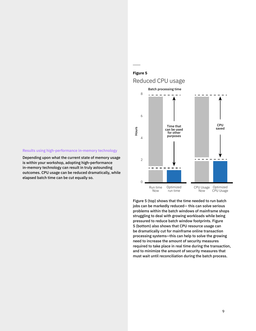#### Results using high-performance in-memory technology

Depending upon what the current state of memory usage is within your workshop, adopting high-performance in-memory technology can result in truly astounding outcomes. CPU usage can be reduced dramatically, while elapsed batch time can be cut equally so.

#### <span id="page-8-0"></span>**Figure 5**

## Reduced CPU usage



Figure 5 (top) shows that the time needed to run batch jobs can be markedly reduced— this can solve serious problems within the batch windows of mainframe shops struggling to deal with growing workloads while being pressured to reduce batch window footprints. Figure 5 (bottom) also shows that CPU resource usage can be dramatically cut for mainframe online transaction processing systems—this can help to solve the growing need to increase the amount of security measures required to take place in real time during the transaction, and to minimize the amount of security measures that must wait until reconciliation during the batch process.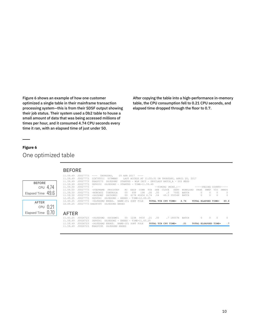Figure 6 shows an example of how one customer optimized a single table in their mainframe transaction processing system—this is from their SDSF output showing their job status. Their system used a Db2 table to house a small amount of data that was being accessed millions of times per hour, and it consumed 4.74 CPU seconds every time it ran, with an elapsed time of just under 50.

After copying the table into a high-performance in-memory table, the CPU consumption fell to 0.21 CPU seconds, and elapsed time dropped through the floor to 0.7.

#### **Figure 6**

## One optimized table

#### **BEFORE** CPU 4.74 Elapsed Time 49.6 AFTER CPU 0.21 Elapsed Time 0.70 **AFTER**<br>11.43.25 J0026723 11.59.49 J0027773 ---- THURSDAY, 20 APR 2017 ----<br>11.59.49 J0027773 ICH70001I UCTMMBD LAST ACCESS AT 11:55:31 ON THURSDAY, APRIL 20, 2017<br>11.59.49 J0027773 \$HASP373 OGJEDOM2 STARTED - WLM INIT - SRVCLASS BATCH\_A - SYS MEXD 11.59.49 J0027773 IEF403I OGJEDOM2 - STARTED - TIME=11.59.49 11.59.50 J0027773 -<br>11.59.50 J0027773 -STEPNAME PROCSTEP RC EXCP CONN TCB SRB CLOCK SERV WORKLOAD PAGE SWAP VIO SWAPS<br>11.59.50 J0027773 -NONCAT2 CONTROLR 00 649 196 .00 .00 .0 7595 BATCH 0 0 0 0<br>11.59.50 J0027773 -NONCAT2 11.59.50 J0027773 -OGJDOM2 OGCDOM01 00 417K 40456 4.74 .04 49.5 35054K BATCH 0 0 0 0 12.49.25 J0027773 IEF4041 OGJEDOM2 - ENDED - TIME=12.49.25 12.49.25 J0027773 -OGJEDOM2 ENDED. NAME-JCL SORT FILE **TOTAL TCB CPU TIME= 4.74 TOTAL ELAPSED TIME= 49.6** 12.49.25 J0027773 \$HASP395 OGJEDOM2 ENDED 11.43.25 J0026723 -OGJEDOM2 OGCDOM01 00 123K 9430 .21 .00 .7 18057K BATCH 0 0 0 0 0<br>11.59.49 J0026723 IEF4041 OGJEDOM2 - ENDED - TIME=11.43.25<br>11.59.49 J0026723 -OGJEDOM2 ENDED. NAME-JCL SORT FOLE TOTAL TCB CPUTIME= .**21 T** 11.59.49 J0026723 \$HASP395 OGJEDOM2 ENDED

#### BEFORE